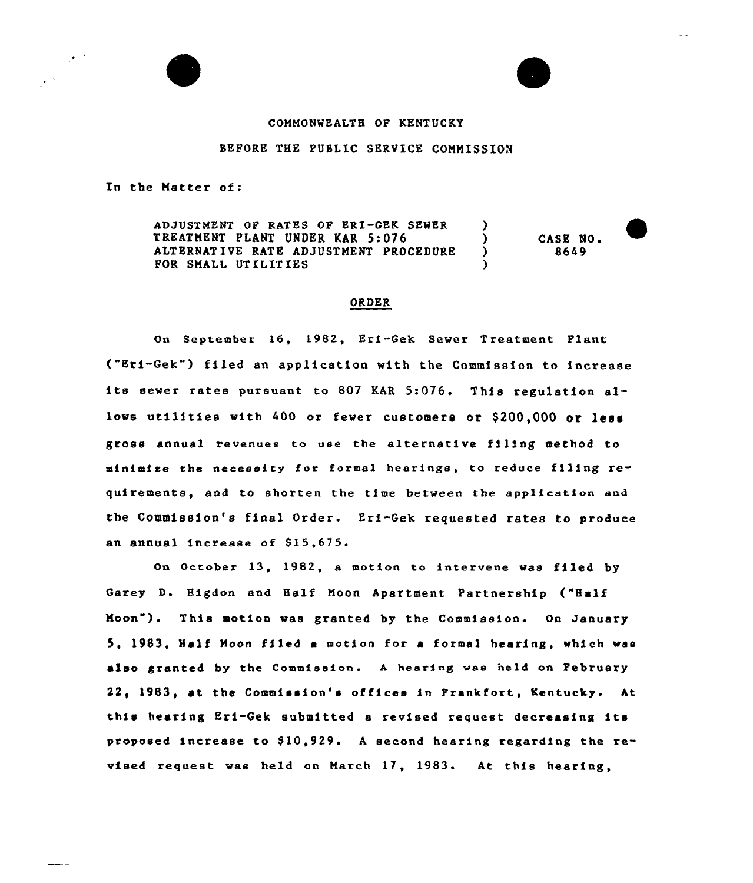# COMMONWEALTH OF KENTUCKY

# BEFORE THE PUBLIC SERVICE COMMISSION

In the Matter of:

 $\mathcal{F}^{\mathcal{A}}$ 

ADJUSTMENT OF RATES OF ERI-GEK SEWER (2007)<br>TREATMENT PLANT UNDER KAR 5:076 TREATMENT PLANT UNDER KAR 5:076 (2008)<br>ALTERNATIVE RATE ADJUSTMENT PROCEDURE (2008) ALTERNATIVE RATE ADJUSTMENT PROCEDURE ) FOR SMALL UTILITIES CASE NO. 8649

#### ORDER

On September 16, 1982, Eri-Gek Sewer Treatment Plant ("Eri-Gek") filed an application with the Commission to increase its sewer rates pursuant to <sup>807</sup> KAR 5:076. This regulation allows utilities with 400 or fewer customers or \$200,000 or less gross annual revenues to use the alternative filing method to minimize the neceecity for formal hearings, to reduce filing requirements, and to shorten the time between the application end the Commission's final Order. Eri-Gek requested rates to produce an annual increase of 815,675.

On October 13, 1982, a motion to intervene was filed by Garey D. Higdon and Half Moon Apartment Partnership ("Half Hoon" ). This motion was granted by the Commission. On January 5, 1983, Half Moon filed <sup>a</sup> motion for a formal hearing, which was also granted by the Commission. <sup>A</sup> hearing was held on February 22, 1983, at the Commission's offices in Frankfort, Kentucky. At this hearing Eri-Gek submitted <sup>a</sup> revised request decreasing its proposed increase to  $$10,929$ . A second hearing regarding the revised request was held on March 17, 1983. At this hearing,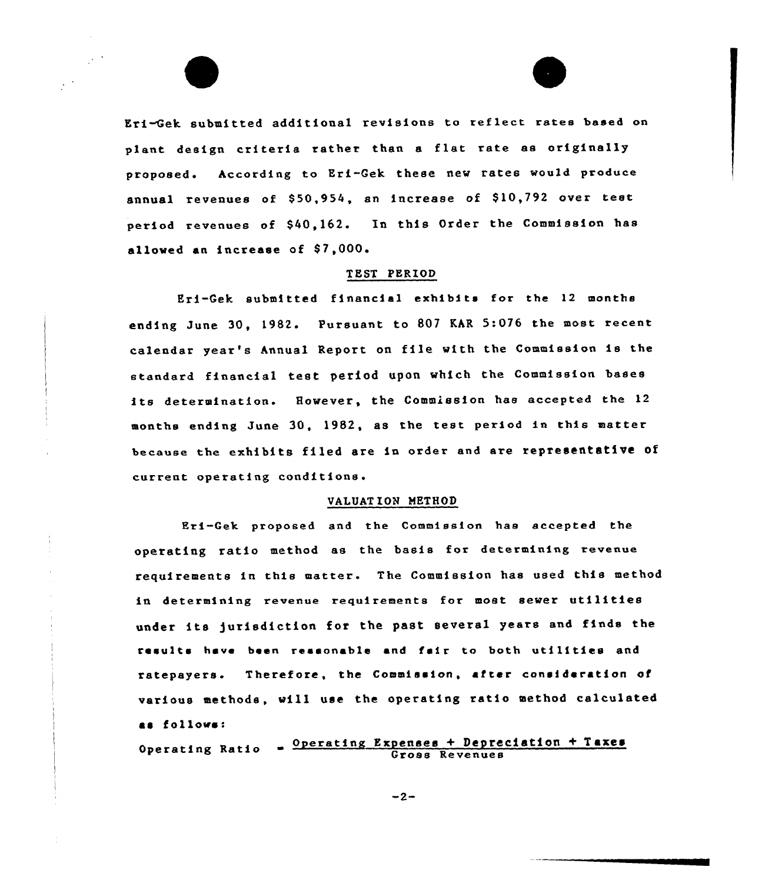Eri-Gek submitted additional revisions to reflect rates based on plant design criteria rather than a flat rate as originally proposed. According to Eri-Gek these new rates would produce annual revenues of \$50,954, an increase of \$10,792 over test period revenues of \$40,162. In this Order the Commission has allowed an increase of S7,000.

#### TEST PERIOD

Eri-Gek submitted financial exhibits for the 12 months ending June 30, 1982. Pursuant to 807 KAR 5:076 the most recent calendar year's Annual Report on file w1th the Commission is the standard financial test period upon which the Commission bases its determination. However, the Commission has accepted the <sup>12</sup> months ending June 30, 19S2, as the test period in this matter because the exhibits filed are in order and are representative of current operating conditions.

#### VALUATION METHOD

Eri-Gek proposed and the Commission has accepted the operating ratio method as the basis for determining revenue requirements in this matter. The Commission has used this method in determining revenue requirements for most sewer utilities under its )urisdiction for the past several years and finds the results have been ressonable and fair to both utilities and ratepayers. Therefore, the Commission, after consideration of various methods, will use the operating ratio method calculated as follows:

Operating Ratio  $\frac{0 \text{perating Expenses} + \text{Depreciation} + \text{Taxes}}{Gross Revennes}$ 

 $-2-$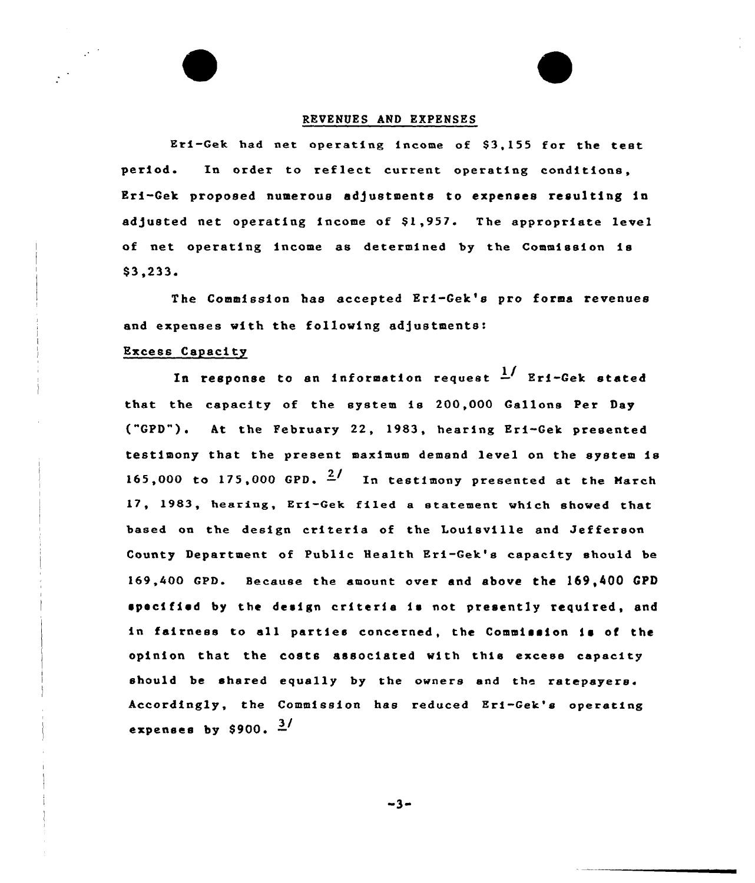#### REVENUES AND EXPENSES

Eri-Gek had net operating income of S3,155 for the test period. In order to reflect current operating conditions, Eri-Gek proposed numerous adjustments to expenses resulting in adjusted net operating income of \$1,957. The appropriate level of net operating income as determined by the Commission is \$ 3,233.

The Commission has accepted Eri-Get's pro forms revenues and expenses with the following adjustments:

### Excess Capacity

In response to an information request  $\frac{1}{n}$  Eri-Gek stated that the capacity of the system is 200,000 Gallons Per Day ("GPD"). At the February 22, 1983, hearing Eri-Gek presented testimony that the present maximum demand level on the system is 165.000 to 175,000 GPD.  $\frac{2}{1}$  In testimony presented at the March 17, 1983, hearing, Eri-Gek filed a statement which showed that based on the design criteria of the Louisville and Jefferson County Department of Public Health Eri-Gek's capacity should be 169,400 GPD. Because the amount over and above the 169,400 CPD specified by the design criteria is not presently required, and in fairness to all parties concerned, the Commission is of the opinion that the costs associated with this excess capacity should be shared equally by the owners and the ratepayers. Accordingly, the Commission has reduced Eri-Gek's operatin expenses by \$900.  $\frac{3}{4}$ 

 $-3-$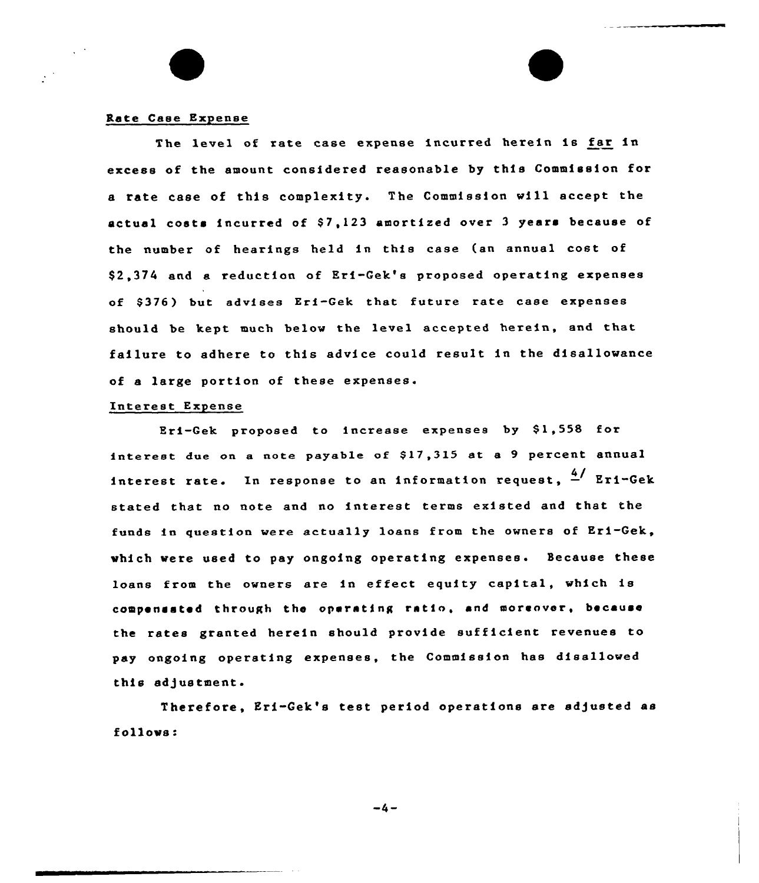#### Rate Case Expense

The level of rate case expense incurred herein is far in excess of the amount considered reasonable by this Commission for a rate case of this complexity. The Commission will accept the actual costs incurred of \$7,123 amortized over 3 years because of the number of hearings held in this case (an annual cost of \$ 2,374 and a reduction of Eri-Gek's proposed operating expenses of \$376) but advises Eri-Gek that future rate case expenses should be kept much below the level accepted herein, and that failure to adhere to this advice could result in the disallowance of a large portion of these expenses.

#### Interest Expense

Eri-Gek proposed to increase expenses by \$1,558 for interest due on a note payable of \$17,315 at a 9 percent annual interest rate. In response to an information request,  $\frac{4}{7}$  Eri-Gek stated that no note and no interest terms existed and that the funds in question were actually loans from the owners of Eri-Gek, which were used to pay ongoing operating expenses. Because these loans from the owners are in effect equity capital, which is compensated through the operating ratio, and moreover, because the rates granted herein should provide sufficient revenues to pay ongoing operating expenses, the Commission has disallowed this adjustment.

Therefore, Eri-Gek's test period operations are adjusted as follows:

 $-4-$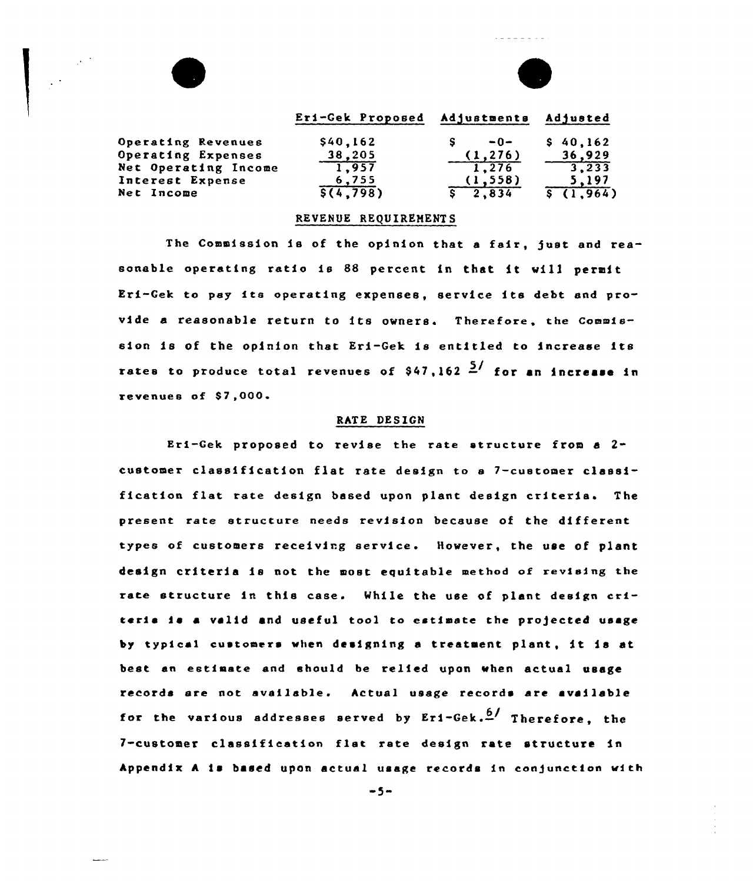|                      | Eri-Gek Proposed | Adjustments | Adjusted |
|----------------------|------------------|-------------|----------|
| Operating Revenues   | \$40,162         | $-0-$       | \$40.162 |
| Operating Expenses   | 38,205           | (1, 276)    | 36,929   |
| Net Operating Income | 1,957            | 1.276       | 3,233    |
| Interest Expense     | 6,755            | (1,558)     | 5.197    |
| Net Income           | \$(4.798)        | 2,834       | (1.964)  |

E

#### REVENUE REQUIRENENTS

The Commission is of the opinion that a fair, just and reasonable operating ratio is <sup>88</sup> percent in that it vill permit Eri-Gek to pay fta operating expenses, service its debt end provide a reasonable return to its owners. Therefore, the Commission is of the opinion that Eri-Gek is entitled to increase its rates to produce total revenues of  $$47,162 \frac{5}{ }$  for an increase in revenues of \$7,000.

## RATE DESIGN

Eri-Gek proposed to revfse the rate structure from <sup>a</sup> 2 customer classification flat rate design to <sup>e</sup> 7-customer classification flat rate design based upon plant design criteria. The present rate structure needs revision because of the different types of customers receiving service. However, the use of plant design criteria is not the most equitable method of revising the rate structure in this case. While the use of plant design crfteria is a valid and useful tool to estimate the projected usage by typical customers when designing <sup>a</sup> treatment plant, it is at best an estimate and should be relied upon when actual usage records ere not available. Actual usage records are available for the various addresses served by  $Er1-Gek.\frac{6}{r}$  Therefore, the 7-customer classification flat rate design rate structure in Appendix A is based upon actual usage records in conjunction with

 $-5-$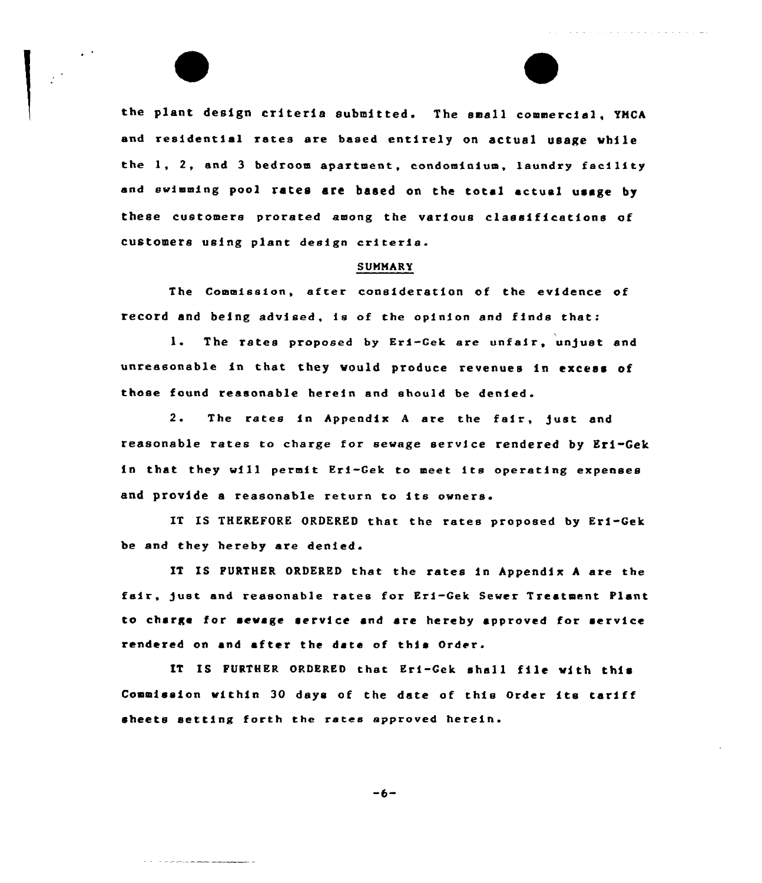the plant design criteria submitted. The small commercial, YMCA and residential rates are based entirely on actual usage while the 1, 2, and <sup>3</sup> bedroom apartment, condominium, laundry facility and swimming pool rates are baaed on the total actual usage by these customers prorated among the various classifications of customers using plant design criteria.

#### SUMMARY

The Commission, after consideration of the evidence of record and being advised, is of the opinion and finds that:

1. The rates proposed by Eri-Gek are unfair, unjust and unreasonable in that they would produce revenues in excess of those found reasonable herein and should be denied.

2. The rates in Appendix <sup>A</sup> are the fair, just and reasonable rates to charge for sewage service rendered by Eri-Gek in that they will permit Eri-Gek to meet its operating expenses and provide <sup>a</sup> reasonable return to its owners.

IT IS THEREFORE ORDERED that the rates proposed by Eri-Gek be and they hereby are denied.

IT IS FURTHER ORDERED that the rates in Appendix <sup>A</sup> are the fair, just and reasonable rates for Eri-Gek Sewer Treatment Plant to charge tor sewage service and are hereby approved for service rendered on and after the date of this Order.

IT IS FURTHER ORDERED that Eri-Gek shall file with this Commission within 30 days of the date of this Order its tariff sheets setting forth the rates approved herein.

the contract of the contract of the contract of the contract of the contract of the contract of the contract of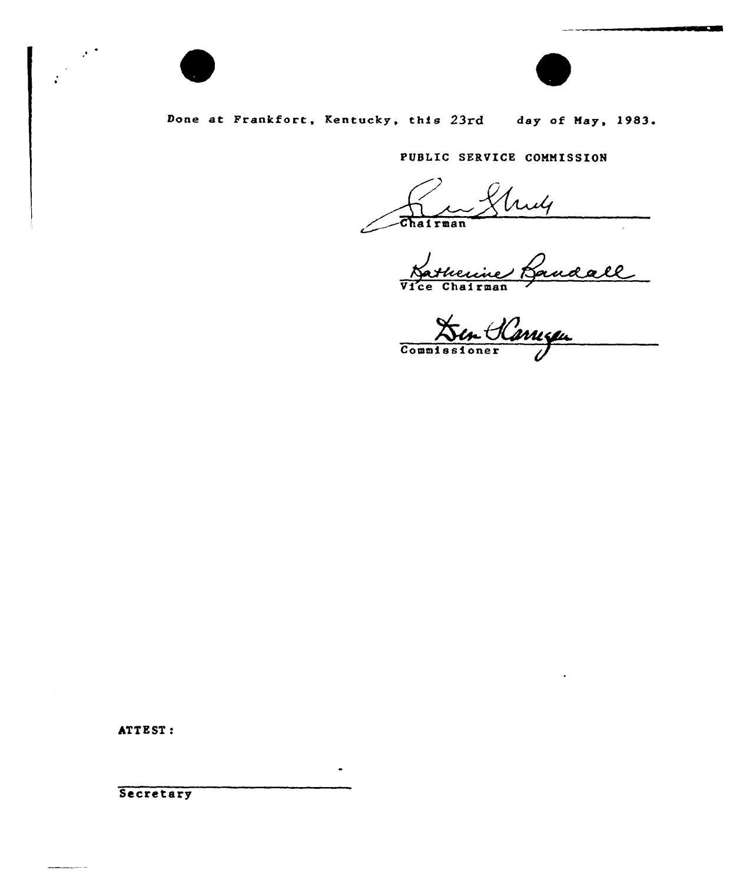

 $\mathcal{F}^{\pm}$ 

 $\ddot{\cdot}$ 



**START OF BUILDING** 

# Done at Frankfort, Kentucky, this 23rd day of May, 1983.

PUBLIC SERVICE COMMISSION

 $\overbrace{\text{Chapter man}}$ 

Vice Chairman

Commissioner

ATTEST:

Secretary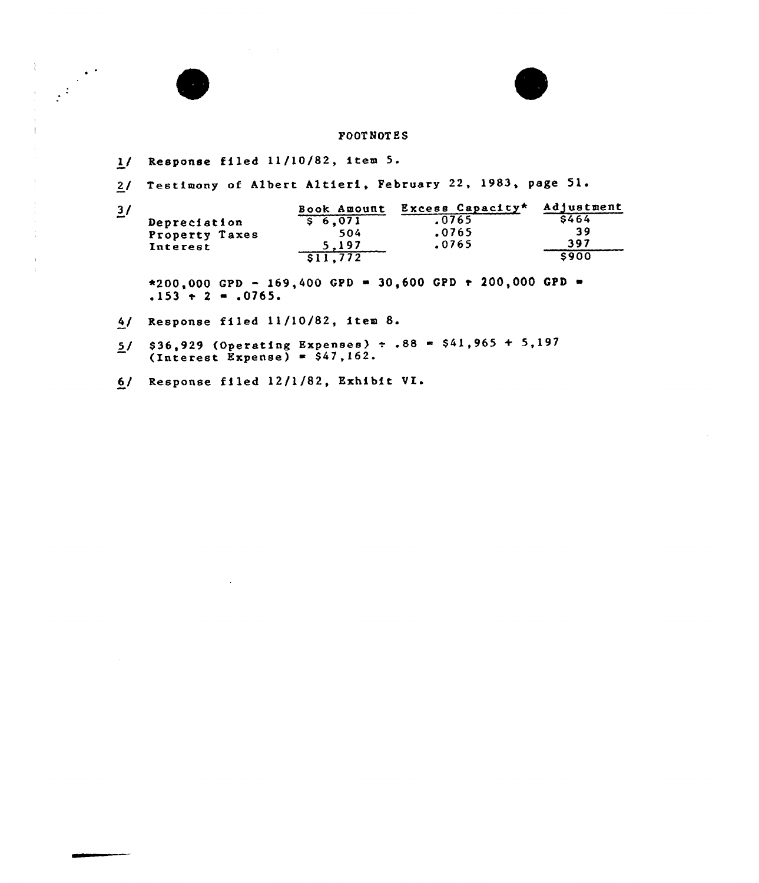#### FOOT NOT ES

1/ Response filed 11/10/82, item 5.

 $\mathop{!}\nolimits$ 

 $\bar{\psi}$  $\mathfrak{f}$ 

 $\bar{\mathrm{i}}$ 

 $\bar{\lambda}$  $\cdot$   $\frac{1}{2}$ 

2/ Testimony of Albert Altieri, February 22, 1983, page 51.

3/ Depreciation Property Taxes Interest Book Amount Excess Capacity\*  $$ 6,071$ 504 5,197 \$ 11,772 .0765 .0765 <sup>~</sup> 0765 Ad) us tment \$ 464 39 397 \$ 900

 $*200,000$  GPD - 169,400 GPD = 30,600 GPD + 200,000 GPD =  $.153 + 2 = .0765.$ 

4/ Response filed ll/10/82, item 8.

- $5/$  \$36,929 (Operating Expenses)  $\div$  .88 = \$41,965 + 5,197  $(Interest$   $Expense) = $47,162.$
- 6/ Response filed 12/1/82, Exhibit VI.